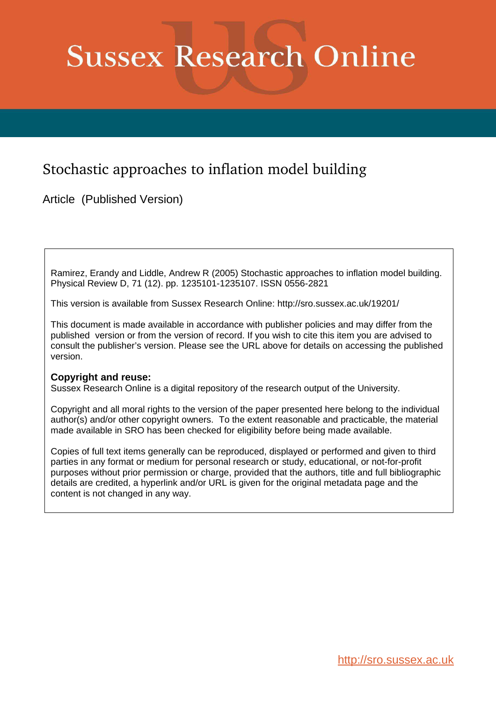# **Sussex Research Online**

## Stochastic approaches to inflation model building

Article (Published Version)

Ramirez, Erandy and Liddle, Andrew R (2005) Stochastic approaches to inflation model building. Physical Review D, 71 (12). pp. 1235101-1235107. ISSN 0556-2821

This version is available from Sussex Research Online: http://sro.sussex.ac.uk/19201/

This document is made available in accordance with publisher policies and may differ from the published version or from the version of record. If you wish to cite this item you are advised to consult the publisher's version. Please see the URL above for details on accessing the published version.

## **Copyright and reuse:**

Sussex Research Online is a digital repository of the research output of the University.

Copyright and all moral rights to the version of the paper presented here belong to the individual author(s) and/or other copyright owners. To the extent reasonable and practicable, the material made available in SRO has been checked for eligibility before being made available.

Copies of full text items generally can be reproduced, displayed or performed and given to third parties in any format or medium for personal research or study, educational, or not-for-profit purposes without prior permission or charge, provided that the authors, title and full bibliographic details are credited, a hyperlink and/or URL is given for the original metadata page and the content is not changed in any way.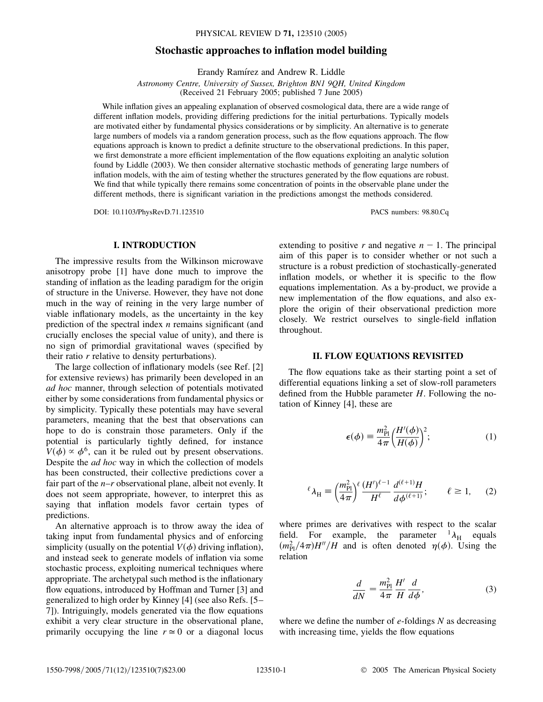## **Stochastic approaches to inflation model building**

Erandy Ramírez and Andrew R. Liddle

*Astronomy Centre, University of Sussex, Brighton BN1 9QH, United Kingdom* (Received 21 February 2005; published 7 June 2005)

While inflation gives an appealing explanation of observed cosmological data, there are a wide range of different inflation models, providing differing predictions for the initial perturbations. Typically models are motivated either by fundamental physics considerations or by simplicity. An alternative is to generate large numbers of models via a random generation process, such as the flow equations approach. The flow equations approach is known to predict a definite structure to the observational predictions. In this paper, we first demonstrate a more efficient implementation of the flow equations exploiting an analytic solution found by Liddle (2003). We then consider alternative stochastic methods of generating large numbers of inflation models, with the aim of testing whether the structures generated by the flow equations are robust. We find that while typically there remains some concentration of points in the observable plane under the different methods, there is significant variation in the predictions amongst the methods considered.

DOI: 10.1103/PhysRevD.71.123510 PACS numbers: 98.80.Cq

## **I. INTRODUCTION**

The impressive results from the Wilkinson microwave anisotropy probe [1] have done much to improve the standing of inflation as the leading paradigm for the origin of structure in the Universe. However, they have not done much in the way of reining in the very large number of viable inflationary models, as the uncertainty in the key prediction of the spectral index *n* remains significant (and crucially encloses the special value of unity), and there is no sign of primordial gravitational waves (specified by their ratio *r* relative to density perturbations).

The large collection of inflationary models (see Ref. [2] for extensive reviews) has primarily been developed in an *ad hoc* manner, through selection of potentials motivated either by some considerations from fundamental physics or by simplicity. Typically these potentials may have several parameters, meaning that the best that observations can hope to do is constrain those parameters. Only if the potential is particularly tightly defined, for instance  $V(\phi) \propto \phi^6$ , can it be ruled out by present observations. Despite the *ad hoc* way in which the collection of models has been constructed, their collective predictions cover a fair part of the *n*–*r* observational plane, albeit not evenly. It does not seem appropriate, however, to interpret this as saying that inflation models favor certain types of predictions.

An alternative approach is to throw away the idea of taking input from fundamental physics and of enforcing simplicity (usually on the potential  $V(\phi)$  driving inflation), and instead seek to generate models of inflation via some stochastic process, exploiting numerical techniques where appropriate. The archetypal such method is the inflationary flow equations, introduced by Hoffman and Turner [3] and generalized to high order by Kinney [4] (see also Refs. [5– 7]). Intriguingly, models generated via the flow equations exhibit a very clear structure in the observational plane, primarily occupying the line  $r \approx 0$  or a diagonal locus

extending to positive *r* and negative  $n - 1$ . The principal aim of this paper is to consider whether or not such a structure is a robust prediction of stochastically-generated inflation models, or whether it is specific to the flow equations implementation. As a by-product, we provide a new implementation of the flow equations, and also explore the origin of their observational prediction more closely. We restrict ourselves to single-field inflation throughout.

## **II. FLOW EQUATIONS REVISITED**

The flow equations take as their starting point a set of differential equations linking a set of slow-roll parameters defined from the Hubble parameter *H*. Following the notation of Kinney [4], these are

$$
\epsilon(\phi) \equiv \frac{m_{\rm Pl}^2}{4\pi} \left(\frac{H'(\phi)}{H(\phi)}\right)^2; \tag{1}
$$

$$
^{\ell}\lambda_{\mathrm{H}} \equiv \left(\frac{m_{\mathrm{Pl}}^{2}}{4\pi}\right)^{\ell} \frac{(H')^{\ell-1}}{H^{\ell}} \frac{d^{(\ell+1)}H}{d\phi^{(\ell+1)}}; \qquad \ell \ge 1, \qquad (2)
$$

where primes are derivatives with respect to the scalar field. For example, the parameter  ${}^{1}\lambda_{H}$  equals  $(m_{\rm Pl}^2/4\pi)H''/H$  and is often denoted  $\eta(\phi)$ . Using the relation

$$
\frac{d}{dN} = \frac{m_{\rm Pl}^2}{4\pi} \frac{H'}{H} \frac{d}{d\phi},\tag{3}
$$

where we define the number of *e*-foldings *N* as decreasing with increasing time, yields the flow equations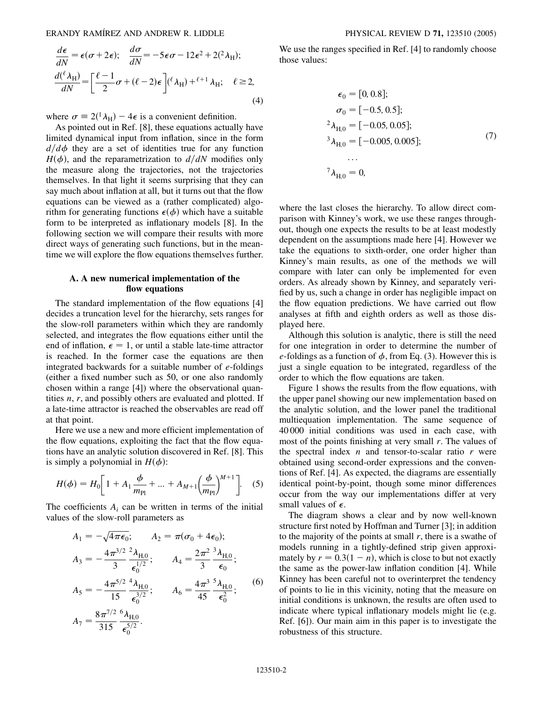$$
\frac{d\epsilon}{dN} = \epsilon(\sigma + 2\epsilon); \quad \frac{d\sigma}{dN} = -5\epsilon\sigma - 12\epsilon^2 + 2(^2\lambda_H);
$$
  

$$
\frac{d(^{\ell}\lambda_H)}{dN} = \left[\frac{\ell - 1}{2}\sigma + (\ell - 2)\epsilon\right]({}^{\ell}\lambda_H) + {}^{\ell + 1}\lambda_H; \quad \ell \ge 2,
$$
  
(4)

where  $\sigma \equiv 2(^1\lambda_H) - 4\epsilon$  is a convenient definition.

As pointed out in Ref. [8], these equations actually have limited dynamical input from inflation, since in the form  $d/d\phi$  they are a set of identities true for any function  $H(\phi)$ , and the reparametrization to  $d/dN$  modifies only the measure along the trajectories, not the trajectories themselves. In that light it seems surprising that they can say much about inflation at all, but it turns out that the flow equations can be viewed as a (rather complicated) algorithm for generating functions  $\epsilon(\phi)$  which have a suitable form to be interpreted as inflationary models [8]. In the following section we will compare their results with more direct ways of generating such functions, but in the meantime we will explore the flow equations themselves further.

## **A. A new numerical implementation of the flow equations**

The standard implementation of the flow equations [4] decides a truncation level for the hierarchy, sets ranges for the slow-roll parameters within which they are randomly selected, and integrates the flow equations either until the end of inflation,  $\epsilon = 1$ , or until a stable late-time attractor is reached. In the former case the equations are then integrated backwards for a suitable number of *e*-foldings (either a fixed number such as 50, or one also randomly chosen within a range [4]) where the observational quantities *n*, *r*, and possibly others are evaluated and plotted. If a late-time attractor is reached the observables are read off at that point.

Here we use a new and more efficient implementation of the flow equations, exploiting the fact that the flow equations have an analytic solution discovered in Ref. [8]. This is simply a polynomial in  $H(\phi)$ :

$$
H(\phi) = H_0 \bigg[ 1 + A_1 \frac{\phi}{m_{\text{Pl}}} + \dots + A_{M+1} \bigg( \frac{\phi}{m_{\text{Pl}}} \bigg)^{M+1} \bigg]. \tag{5}
$$

The coefficients  $A_i$  can be written in terms of the initial values of the slow-roll parameters as

$$
A_1 = -\sqrt{4\pi\epsilon_0}; \qquad A_2 = \pi(\sigma_0 + 4\epsilon_0);
$$
  
\n
$$
A_3 = -\frac{4\pi^{3/2}}{3} \frac{2\lambda_{\text{H},0}}{\epsilon_0^{1/2}}; \qquad A_4 = \frac{2\pi^2}{3} \frac{3\lambda_{\text{H},0}}{\epsilon_0};
$$
  
\n
$$
A_5 = -\frac{4\pi^{5/2}}{15} \frac{4\lambda_{\text{H},0}}{\epsilon_0^{3/2}}; \qquad A_6 = \frac{4\pi^3}{45} \frac{5\lambda_{\text{H},0}}{\epsilon_0^2};
$$
  
\n
$$
A_7 = \frac{8\pi^{7/2}}{315} \frac{6\lambda_{\text{H},0}}{\epsilon_0^{5/2}}.
$$
 (6)

We use the ranges specified in Ref. [4] to randomly choose those values:

$$
\epsilon_0 = [0, 0.8];
$$
  
\n
$$
\sigma_0 = [-0.5, 0.5];
$$
  
\n
$$
{}^{2}\lambda_{H,0} = [-0.05, 0.05];
$$
  
\n
$$
{}^{3}\lambda_{H,0} = [-0.005, 0.005];
$$
  
\n...  
\n
$$
{}^{7}\lambda_{H,0} = 0,
$$
  
\n(7)

where the last closes the hierarchy. To allow direct comparison with Kinney's work, we use these ranges throughout, though one expects the results to be at least modestly dependent on the assumptions made here [4]. However we take the equations to sixth-order, one order higher than Kinney's main results, as one of the methods we will compare with later can only be implemented for even orders. As already shown by Kinney, and separately verified by us, such a change in order has negligible impact on the flow equation predictions. We have carried out flow analyses at fifth and eighth orders as well as those displayed here.

Although this solution is analytic, there is still the need for one integration in order to determine the number of *e*-foldings as a function of  $\phi$ , from Eq. (3). However this is just a single equation to be integrated, regardless of the order to which the flow equations are taken.

Figure 1 shows the results from the flow equations, with the upper panel showing our new implementation based on the analytic solution, and the lower panel the traditional multiequation implementation. The same sequence of 40 000 initial conditions was used in each case, with most of the points finishing at very small *r*. The values of the spectral index *n* and tensor-to-scalar ratio *r* were obtained using second-order expressions and the conventions of Ref. [4]. As expected, the diagrams are essentially identical point-by-point, though some minor differences occur from the way our implementations differ at very small values of  $\epsilon$ .

The diagram shows a clear and by now well-known structure first noted by Hoffman and Turner [3]; in addition to the majority of the points at small *r*, there is a swathe of models running in a tightly-defined strip given approximately by  $r = 0.3(1 - n)$ , which is close to but not exactly the same as the power-law inflation condition [4]. While Kinney has been careful not to overinterpret the tendency of points to lie in this vicinity, noting that the measure on initial conditions is unknown, the results are often used to indicate where typical inflationary models might lie (e.g. Ref. [6]). Our main aim in this paper is to investigate the robustness of this structure.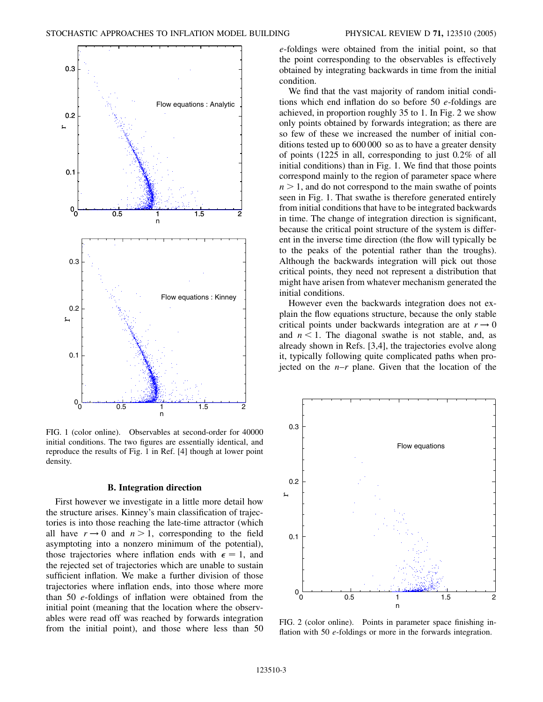

FIG. 1 (color online). Observables at second-order for 40000 initial conditions. The two figures are essentially identical, and reproduce the results of Fig. 1 in Ref. [4] though at lower point density.

#### **B. Integration direction**

First however we investigate in a little more detail how the structure arises. Kinney's main classification of trajectories is into those reaching the late-time attractor (which all have  $r \rightarrow 0$  and  $n > 1$ , corresponding to the field asymptoting into a nonzero minimum of the potential), those trajectories where inflation ends with  $\epsilon = 1$ , and the rejected set of trajectories which are unable to sustain sufficient inflation. We make a further division of those trajectories where inflation ends, into those where more than 50 *e*-foldings of inflation were obtained from the initial point (meaning that the location where the observables were read off was reached by forwards integration from the initial point), and those where less than 50 *e*-foldings were obtained from the initial point, so that the point corresponding to the observables is effectively obtained by integrating backwards in time from the initial condition.

We find that the vast majority of random initial conditions which end inflation do so before 50 *e*-foldings are achieved, in proportion roughly 35 to 1. In Fig. 2 we show only points obtained by forwards integration; as there are so few of these we increased the number of initial conditions tested up to 600 000 so as to have a greater density of points (1225 in all, corresponding to just 0*:*2% of all initial conditions) than in Fig. 1. We find that those points correspond mainly to the region of parameter space where  $n \geq 1$ , and do not correspond to the main swathe of points seen in Fig. 1. That swathe is therefore generated entirely from initial conditions that have to be integrated backwards in time. The change of integration direction is significant, because the critical point structure of the system is different in the inverse time direction (the flow will typically be to the peaks of the potential rather than the troughs). Although the backwards integration will pick out those critical points, they need not represent a distribution that might have arisen from whatever mechanism generated the initial conditions.

However even the backwards integration does not explain the flow equations structure, because the only stable critical points under backwards integration are at  $r \rightarrow 0$ and  $n < 1$ . The diagonal swathe is not stable, and, as already shown in Refs. [3,4], the trajectories evolve along it, typically following quite complicated paths when projected on the *n*–*r* plane. Given that the location of the



FIG. 2 (color online). Points in parameter space finishing inflation with 50 *e*-foldings or more in the forwards integration.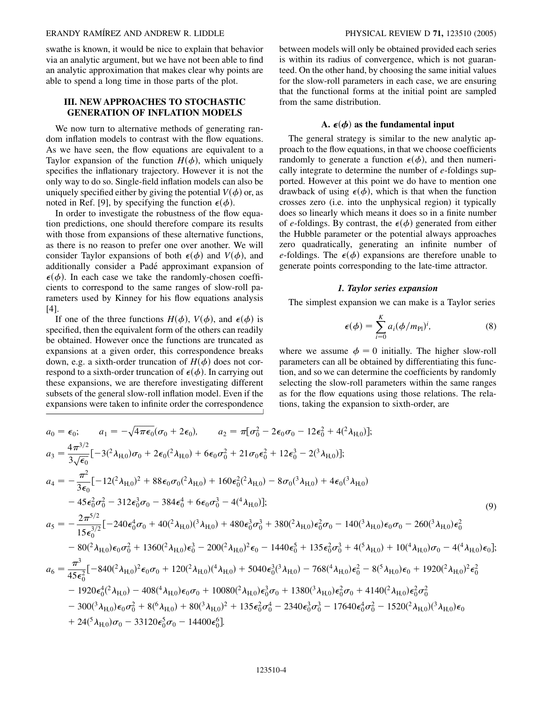swathe is known, it would be nice to explain that behavior via an analytic argument, but we have not been able to find an analytic approximation that makes clear why points are able to spend a long time in those parts of the plot.

## **III. NEW APPROACHES TO STOCHASTIC GENERATION OF INFLATION MODELS**

We now turn to alternative methods of generating random inflation models to contrast with the flow equations. As we have seen, the flow equations are equivalent to a Taylor expansion of the function  $H(\phi)$ , which uniquely specifies the inflationary trajectory. However it is not the only way to do so. Single-field inflation models can also be uniquely specified either by giving the potential  $V(\phi)$  or, as noted in Ref. [9], by specifying the function  $\epsilon(\phi)$ .

In order to investigate the robustness of the flow equation predictions, one should therefore compare its results with those from expansions of these alternative functions, as there is no reason to prefer one over another. We will consider Taylor expansions of both  $\epsilon(\phi)$  and  $V(\phi)$ , and additionally consider a Pade´ approximant expansion of  $\epsilon(\phi)$ . In each case we take the randomly-chosen coefficients to correspond to the same ranges of slow-roll parameters used by Kinney for his flow equations analysis [4].

If one of the three functions  $H(\phi)$ ,  $V(\phi)$ , and  $\epsilon(\phi)$  is specified, then the equivalent form of the others can readily be obtained. However once the functions are truncated as expansions at a given order, this correspondence breaks down, e.g. a sixth-order truncation of  $H(\phi)$  does not correspond to a sixth-order truncation of  $\epsilon(\phi)$ . In carrying out these expansions, we are therefore investigating different subsets of the general slow-roll inflation model. Even if the expansions were taken to infinite order the correspondence between models will only be obtained provided each series is within its radius of convergence, which is not guaranteed. On the other hand, by choosing the same initial values for the slow-roll parameters in each case, we are ensuring that the functional forms at the initial point are sampled from the same distribution.

## A.  $\boldsymbol{\epsilon}(\boldsymbol{\phi})$  as the fundamental input

The general strategy is similar to the new analytic approach to the flow equations, in that we choose coefficients randomly to generate a function  $\epsilon(\phi)$ , and then numerically integrate to determine the number of *e*-foldings supported. However at this point we do have to mention one drawback of using  $\epsilon(\phi)$ , which is that when the function crosses zero (i.e. into the unphysical region) it typically does so linearly which means it does so in a finite number of *e*-foldings. By contrast, the  $\epsilon(\phi)$  generated from either the Hubble parameter or the potential always approaches zero quadratically, generating an infinite number of *e*-foldings. The  $\epsilon(\phi)$  expansions are therefore unable to generate points corresponding to the late-time attractor.

#### *1. Taylor series expansion*

The simplest expansion we can make is a Taylor series

$$
\epsilon(\phi) = \sum_{i=0}^{K} a_i (\phi/m_{\rm Pl})^i,
$$
 (8)

where we assume  $\phi = 0$  initially. The higher slow-roll parameters can all be obtained by differentiating this function, and so we can determine the coefficients by randomly selecting the slow-roll parameters within the same ranges as for the flow equations using those relations. The relations, taking the expansion to sixth-order, are

$$
a_0 = \epsilon_0; \t a_1 = -\sqrt{4\pi\epsilon_0}(\sigma_0 + 2\epsilon_0), \t a_2 = \pi[\sigma_0^2 - 2\epsilon_0\sigma_0 - 12\epsilon_0^2 + 4(2\lambda_{H,0})];
$$
  
\n
$$
a_3 = \frac{4\pi^{3/2}}{3\sqrt{\epsilon_0}}[-3(2\lambda_{H,0})\sigma_0 + 2\epsilon_0(2\lambda_{H,0}) + 6\epsilon_0\sigma_0^2 + 21\sigma_0\epsilon_0^2 + 12\epsilon_0^3 - 2(3\lambda_{H,0})];
$$
  
\n
$$
a_4 = -\frac{\pi^2}{3\epsilon_0}[-12(2\lambda_{H,0})^2 + 88\epsilon_0\sigma_0(2\lambda_{H,0}) + 160\epsilon_0^2(2\lambda_{H,0}) - 8\sigma_0(3\lambda_{H,0}) + 4\epsilon_0(3\lambda_{H,0})
$$
  
\n
$$
-45\epsilon_0^2\sigma_0^2 - 312\epsilon_0^3\sigma_0 - 384\epsilon_0^4 + 6\epsilon_0\sigma_0^3 - 4(4\lambda_{H,0})];
$$
  
\n
$$
a_5 = -\frac{2\pi^{5/2}}{15\epsilon_0^{3/2}}[-240\epsilon_0^4\sigma_0 + 40(2\lambda_{H,0})(3\lambda_{H,0}) + 480\epsilon_0^3\sigma_0^3 + 380(2\lambda_{H,0})\epsilon_0^2\sigma_0 - 140(3\lambda_{H,0})\epsilon_0\sigma_0 - 260(3\lambda_{H,0})\epsilon_0^2 - 80(2\lambda_{H,0})\epsilon_0\sigma_0^2 + 1360(2\lambda_{H,0})\epsilon_0^3 - 200(2\lambda_{H,0})^2\epsilon_0 - 1440\epsilon_0^5 + 135\epsilon_0^2\sigma_0^3 + 4(5\lambda_{H,0}) + 10(4\lambda_{H,0})\sigma_0 - 4(4\lambda_{H,0})\epsilon_0];
$$
  
\n
$$
a_6 = \frac{\pi^3}{45\epsilon_0^2}[-840(2\lambda_{H,0})^2\epsilon_0\sigma_0 + 120(2
$$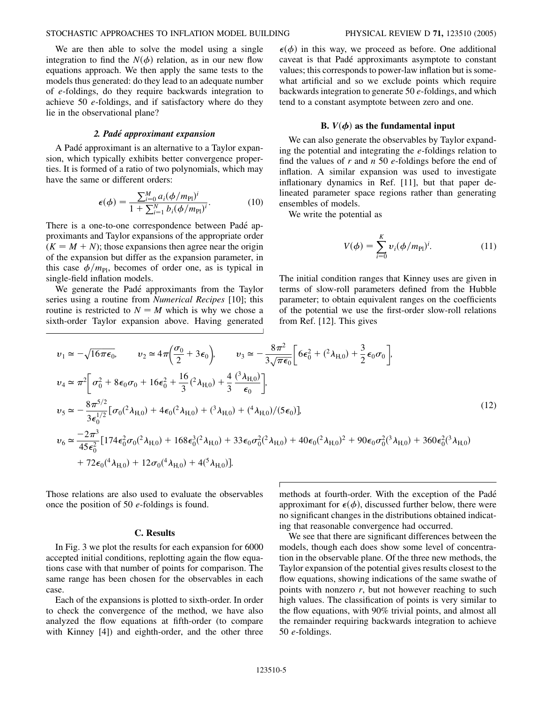We are then able to solve the model using a single integration to find the  $N(\phi)$  relation, as in our new flow equations approach. We then apply the same tests to the models thus generated: do they lead to an adequate number of *e*-foldings, do they require backwards integration to achieve 50 *e*-foldings, and if satisfactory where do they lie in the observational plane?

## *2. Pade´ approximant expansion*

A Pade´ approximant is an alternative to a Taylor expansion, which typically exhibits better convergence properties. It is formed of a ratio of two polynomials, which may have the same or different orders:

$$
\epsilon(\phi) = \frac{\sum_{i=0}^{M} a_i (\phi/m_{\rm Pl})^i}{1 + \sum_{i=1}^{N} b_i (\phi/m_{\rm Pl})^i}.
$$
 (10)

There is a one-to-one correspondence between Padé approximants and Taylor expansions of the appropriate order  $(K = M + N)$ ; those expansions then agree near the origin of the expansion but differ as the expansion parameter, in this case  $\phi/m_{\rm Pl}$ , becomes of order one, as is typical in single-field inflation models.

We generate the Padé approximants from the Taylor series using a routine from *Numerical Recipes* [10]; this routine is restricted to  $N = M$  which is why we chose a sixth-order Taylor expansion above. Having generated

 $\epsilon(\phi)$  in this way, we proceed as before. One additional caveat is that Pade´ approximants asymptote to constant values; this corresponds to power-law inflation but is somewhat artificial and so we exclude points which require backwards integration to generate 50 *e*-foldings, and which tend to a constant asymptote between zero and one.

## **B.**  $V(\phi)$  as the fundamental input

We can also generate the observables by Taylor expanding the potential and integrating the *e*-foldings relation to find the values of *r* and *n* 50 *e*-foldings before the end of inflation. A similar expansion was used to investigate inflationary dynamics in Ref. [11], but that paper delineated parameter space regions rather than generating ensembles of models.

We write the potential as

$$
V(\phi) = \sum_{i=0}^{K} v_i (\phi/m_{\rm Pl})^i.
$$
 (11)

The initial condition ranges that Kinney uses are given in terms of slow-roll parameters defined from the Hubble parameter; to obtain equivalent ranges on the coefficients of the potential we use the first-order slow-roll relations from Ref. [12]. This gives

$$
v_1 \approx -\sqrt{16\pi\epsilon_0}, \qquad v_2 \approx 4\pi \left(\frac{\sigma_0}{2} + 3\epsilon_0\right), \qquad v_3 \approx -\frac{8\pi^2}{3\sqrt{\pi\epsilon_0}} \left[6\epsilon_0^2 + (2\lambda_{\rm H,0}) + \frac{3}{2}\epsilon_0\sigma_0\right],
$$
  
\n
$$
v_4 \approx \pi^2 \left[\sigma_0^2 + 8\epsilon_0\sigma_0 + 16\epsilon_0^2 + \frac{16}{3}(2\lambda_{\rm H,0}) + \frac{4}{3}\frac{(3\lambda_{\rm H,0})}{\epsilon_0}\right],
$$
  
\n
$$
v_5 \approx -\frac{8\pi^{5/2}}{3\epsilon_0^{1/2}} \left[\sigma_0(2\lambda_{\rm H,0}) + 4\epsilon_0(2\lambda_{\rm H,0}) + (3\lambda_{\rm H,0}) + (4\lambda_{\rm H,0})/(5\epsilon_0)\right],
$$
  
\n
$$
v_6 \approx \frac{-2\pi^3}{45\epsilon_0^2} \left[174\epsilon_0^2\sigma_0(2\lambda_{\rm H,0}) + 168\epsilon_0^3(2\lambda_{\rm H,0}) + 33\epsilon_0\sigma_0^2(2\lambda_{\rm H,0}) + 40\epsilon_0(2\lambda_{\rm H,0})^2 + 90\epsilon_0\sigma_0^2(3\lambda_{\rm H,0}) + 360\epsilon_0^2(3\lambda_{\rm H,0}) + 72\epsilon_0(4\lambda_{\rm H,0}) + 12\sigma_0(4\lambda_{\rm H,0}) + 4(5\lambda_{\rm H,0})\right].
$$
  
\n(12)

Those relations are also used to evaluate the observables once the position of 50 *e*-foldings is found.

## **C. Results**

In Fig. 3 we plot the results for each expansion for 6000 accepted initial conditions, replotting again the flow equations case with that number of points for comparison. The same range has been chosen for the observables in each case.

Each of the expansions is plotted to sixth-order. In order to check the convergence of the method, we have also analyzed the flow equations at fifth-order (to compare with Kinney [4]) and eighth-order, and the other three methods at fourth-order. With the exception of the Pade´ approximant for  $\epsilon(\phi)$ , discussed further below, there were no significant changes in the distributions obtained indicating that reasonable convergence had occurred.

We see that there are significant differences between the models, though each does show some level of concentration in the observable plane. Of the three new methods, the Taylor expansion of the potential gives results closest to the flow equations, showing indications of the same swathe of points with nonzero  $r$ , but not however reaching to such high values. The classification of points is very similar to the flow equations, with 90% trivial points, and almost all the remainder requiring backwards integration to achieve 50 *e*-foldings.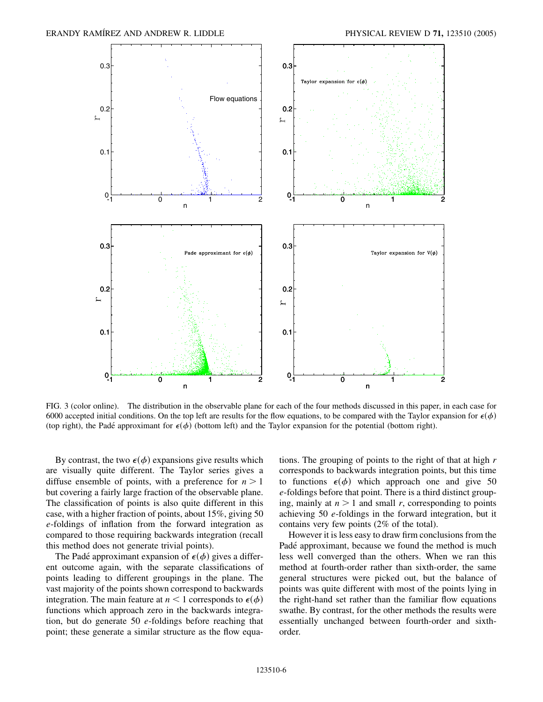

FIG. 3 (color online). The distribution in the observable plane for each of the four methods discussed in this paper, in each case for 6000 accepted initial conditions. On the top left are results for the flow equations, to be compared with the Taylor expansion for  $\epsilon(\phi)$ (top right), the Padé approximant for  $\epsilon(\phi)$  (bottom left) and the Taylor expansion for the potential (bottom right).

By contrast, the two  $\epsilon(\phi)$  expansions give results which are visually quite different. The Taylor series gives a diffuse ensemble of points, with a preference for  $n > 1$ but covering a fairly large fraction of the observable plane. The classification of points is also quite different in this case, with a higher fraction of points, about 15%, giving 50 *e*-foldings of inflation from the forward integration as compared to those requiring backwards integration (recall this method does not generate trivial points).

The Padé approximant expansion of  $\epsilon(\phi)$  gives a different outcome again, with the separate classifications of points leading to different groupings in the plane. The vast majority of the points shown correspond to backwards integration. The main feature at  $n < 1$  corresponds to  $\epsilon(\phi)$ functions which approach zero in the backwards integration, but do generate 50 *e*-foldings before reaching that point; these generate a similar structure as the flow equations. The grouping of points to the right of that at high *r* corresponds to backwards integration points, but this time to functions  $\epsilon(\phi)$  which approach one and give 50 *e*-foldings before that point. There is a third distinct grouping, mainly at  $n > 1$  and small *r*, corresponding to points achieving 50 *e*-foldings in the forward integration, but it contains very few points (2% of the total).

However it is less easy to draw firm conclusions from the Padé approximant, because we found the method is much less well converged than the others. When we ran this method at fourth-order rather than sixth-order, the same general structures were picked out, but the balance of points was quite different with most of the points lying in the right-hand set rather than the familiar flow equations swathe. By contrast, for the other methods the results were essentially unchanged between fourth-order and sixthorder.